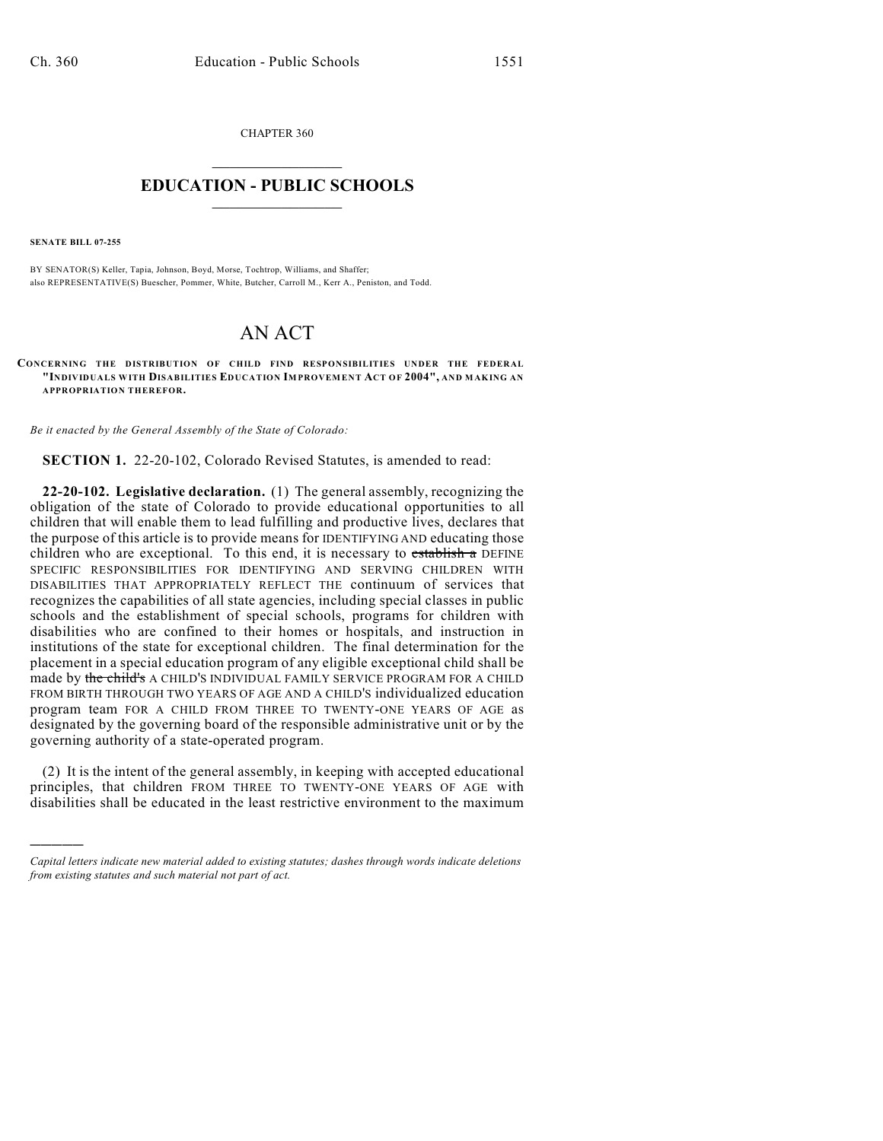CHAPTER 360  $\mathcal{L}_\text{max}$  . The set of the set of the set of the set of the set of the set of the set of the set of the set of the set of the set of the set of the set of the set of the set of the set of the set of the set of the set

## **EDUCATION - PUBLIC SCHOOLS**  $\_$   $\_$   $\_$   $\_$   $\_$   $\_$   $\_$   $\_$   $\_$

**SENATE BILL 07-255**

)))))

BY SENATOR(S) Keller, Tapia, Johnson, Boyd, Morse, Tochtrop, Williams, and Shaffer; also REPRESENTATIVE(S) Buescher, Pommer, White, Butcher, Carroll M., Kerr A., Peniston, and Todd.

# AN ACT

**CONCERNING THE DISTRIBUTION OF CHILD FIND RESPONSIBILITIES UNDER THE FEDERAL "INDIVIDUALS WITH DISABILITIES EDUCATION IMPROVEMENT ACT OF 2004", AND MAKING AN APPROPRIATION THEREFOR.**

*Be it enacted by the General Assembly of the State of Colorado:*

**SECTION 1.** 22-20-102, Colorado Revised Statutes, is amended to read:

**22-20-102. Legislative declaration.** (1) The general assembly, recognizing the obligation of the state of Colorado to provide educational opportunities to all children that will enable them to lead fulfilling and productive lives, declares that the purpose of this article is to provide means for IDENTIFYING AND educating those children who are exceptional. To this end, it is necessary to establish a DEFINE SPECIFIC RESPONSIBILITIES FOR IDENTIFYING AND SERVING CHILDREN WITH DISABILITIES THAT APPROPRIATELY REFLECT THE continuum of services that recognizes the capabilities of all state agencies, including special classes in public schools and the establishment of special schools, programs for children with disabilities who are confined to their homes or hospitals, and instruction in institutions of the state for exceptional children. The final determination for the placement in a special education program of any eligible exceptional child shall be made by the child's A CHILD'S INDIVIDUAL FAMILY SERVICE PROGRAM FOR A CHILD FROM BIRTH THROUGH TWO YEARS OF AGE AND A CHILD'S individualized education program team FOR A CHILD FROM THREE TO TWENTY-ONE YEARS OF AGE as designated by the governing board of the responsible administrative unit or by the governing authority of a state-operated program.

(2) It is the intent of the general assembly, in keeping with accepted educational principles, that children FROM THREE TO TWENTY-ONE YEARS OF AGE with disabilities shall be educated in the least restrictive environment to the maximum

*Capital letters indicate new material added to existing statutes; dashes through words indicate deletions from existing statutes and such material not part of act.*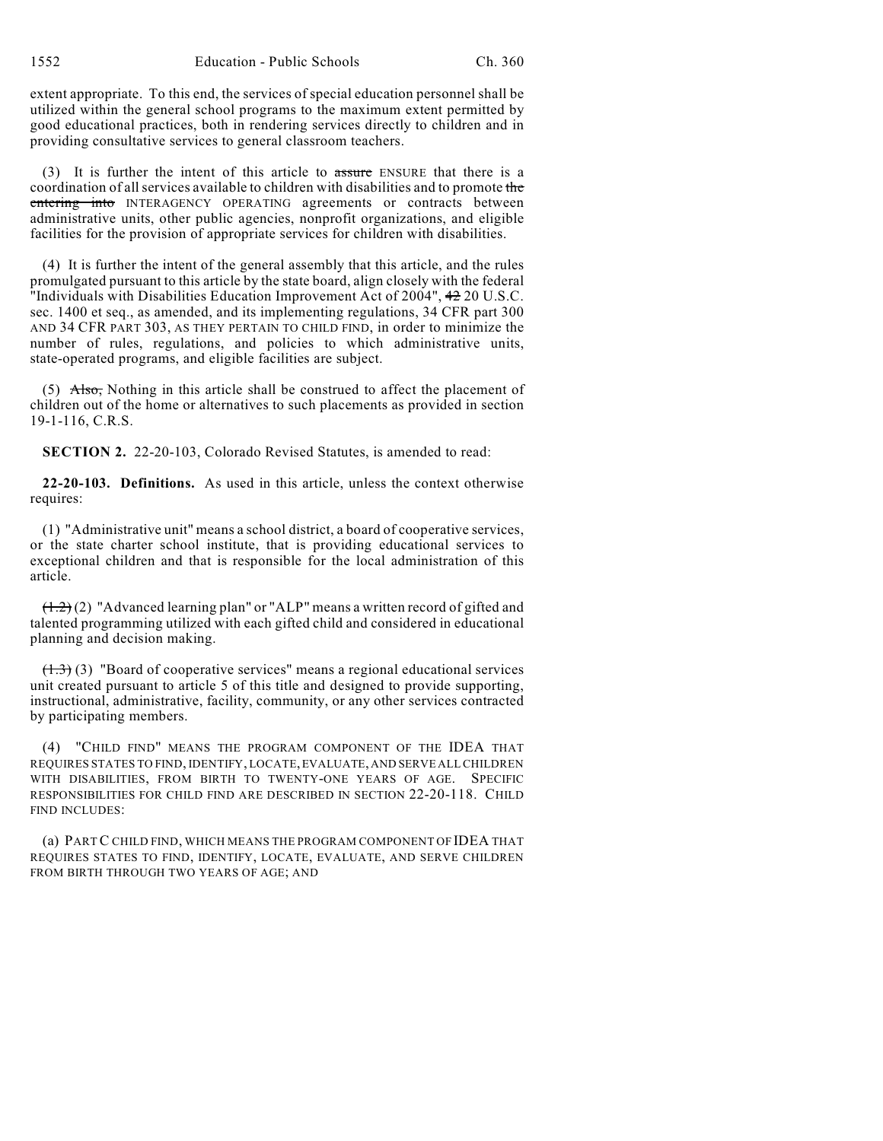extent appropriate. To this end, the services of special education personnel shall be utilized within the general school programs to the maximum extent permitted by good educational practices, both in rendering services directly to children and in providing consultative services to general classroom teachers.

(3) It is further the intent of this article to assure ENSURE that there is a coordination of all services available to children with disabilities and to promote the entering into INTERAGENCY OPERATING agreements or contracts between administrative units, other public agencies, nonprofit organizations, and eligible facilities for the provision of appropriate services for children with disabilities.

(4) It is further the intent of the general assembly that this article, and the rules promulgated pursuant to this article by the state board, align closely with the federal "Individuals with Disabilities Education Improvement Act of 2004", 42 20 U.S.C. sec. 1400 et seq., as amended, and its implementing regulations, 34 CFR part 300 AND 34 CFR PART 303, AS THEY PERTAIN TO CHILD FIND, in order to minimize the number of rules, regulations, and policies to which administrative units, state-operated programs, and eligible facilities are subject.

 $(5)$  Also, Nothing in this article shall be construed to affect the placement of children out of the home or alternatives to such placements as provided in section 19-1-116, C.R.S.

**SECTION 2.** 22-20-103, Colorado Revised Statutes, is amended to read:

**22-20-103. Definitions.** As used in this article, unless the context otherwise requires:

(1) "Administrative unit" means a school district, a board of cooperative services, or the state charter school institute, that is providing educational services to exceptional children and that is responsible for the local administration of this article.

 $(1.2)(2)$  "Advanced learning plan" or "ALP" means a written record of gifted and talented programming utilized with each gifted child and considered in educational planning and decision making.

(1.3) (3) "Board of cooperative services" means a regional educational services unit created pursuant to article 5 of this title and designed to provide supporting, instructional, administrative, facility, community, or any other services contracted by participating members.

(4) "CHILD FIND" MEANS THE PROGRAM COMPONENT OF THE IDEA THAT REQUIRES STATES TO FIND, IDENTIFY, LOCATE, EVALUATE, AND SERVE ALL CHILDREN WITH DISABILITIES, FROM BIRTH TO TWENTY-ONE YEARS OF AGE. SPECIFIC RESPONSIBILITIES FOR CHILD FIND ARE DESCRIBED IN SECTION 22-20-118. CHILD FIND INCLUDES:

(a) PART C CHILD FIND, WHICH MEANS THE PROGRAM COMPONENT OF IDEA THAT REQUIRES STATES TO FIND, IDENTIFY, LOCATE, EVALUATE, AND SERVE CHILDREN FROM BIRTH THROUGH TWO YEARS OF AGE; AND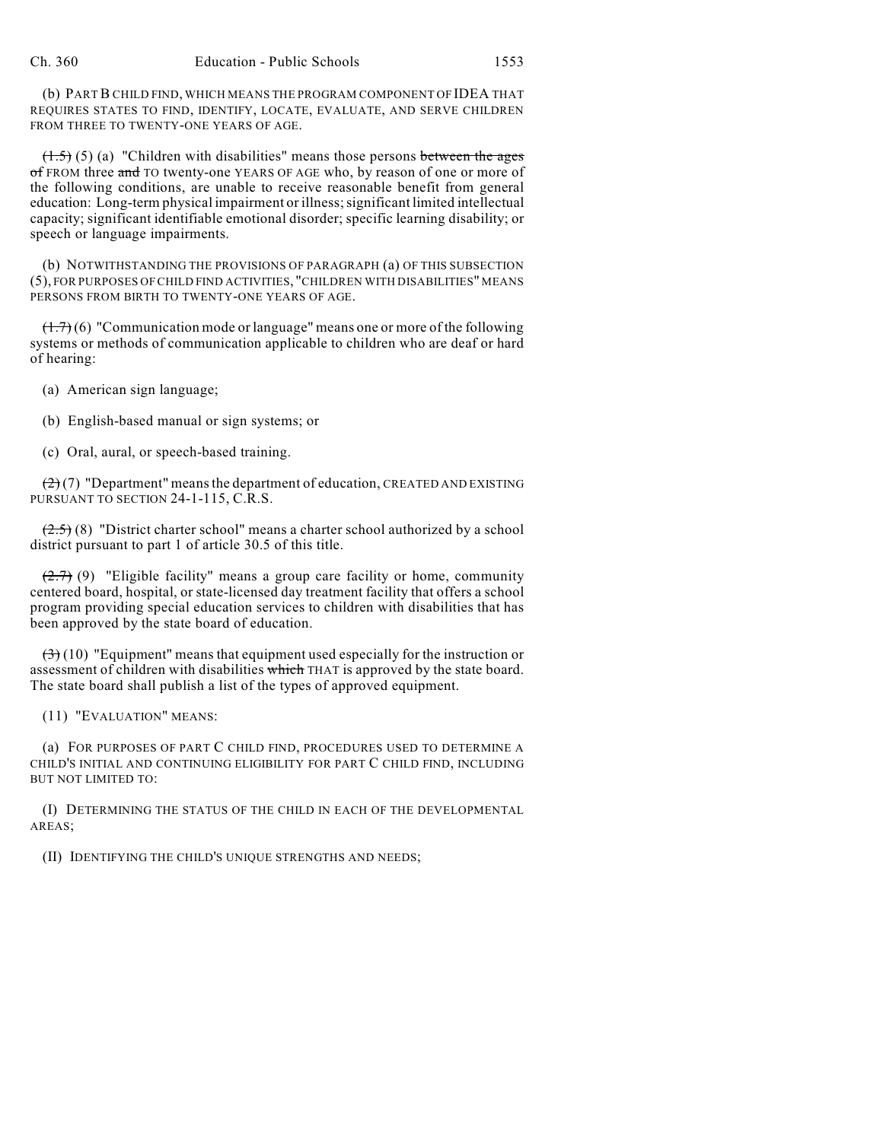(b) PART B CHILD FIND, WHICH MEANS THE PROGRAM COMPONENT OF IDEA THAT REQUIRES STATES TO FIND, IDENTIFY, LOCATE, EVALUATE, AND SERVE CHILDREN FROM THREE TO TWENTY-ONE YEARS OF AGE.

 $(1.5)$  (5) (a) "Children with disabilities" means those persons between the ages of FROM three and TO twenty-one YEARS OF AGE who, by reason of one or more of the following conditions, are unable to receive reasonable benefit from general education: Long-term physical impairment or illness; significant limited intellectual capacity; significant identifiable emotional disorder; specific learning disability; or speech or language impairments.

(b) NOTWITHSTANDING THE PROVISIONS OF PARAGRAPH (a) OF THIS SUBSECTION (5), FOR PURPOSES OF CHILD FIND ACTIVITIES, "CHILDREN WITH DISABILITIES" MEANS PERSONS FROM BIRTH TO TWENTY-ONE YEARS OF AGE.

 $(1.7)$  (6) "Communication mode or language" means one or more of the following systems or methods of communication applicable to children who are deaf or hard of hearing:

(a) American sign language;

(b) English-based manual or sign systems; or

(c) Oral, aural, or speech-based training.

 $\left(\frac{2}{2}\right)$  (7) "Department" means the department of education, CREATED AND EXISTING PURSUANT TO SECTION 24-1-115, C.R.S.

 $(2.5)$  (8) "District charter school" means a charter school authorized by a school district pursuant to part 1 of article 30.5 of this title.

 $(2.7)$  (9) "Eligible facility" means a group care facility or home, community centered board, hospital, or state-licensed day treatment facility that offers a school program providing special education services to children with disabilities that has been approved by the state board of education.

 $(3)(10)$  "Equipment" means that equipment used especially for the instruction or assessment of children with disabilities which THAT is approved by the state board. The state board shall publish a list of the types of approved equipment.

(11) "EVALUATION" MEANS:

(a) FOR PURPOSES OF PART C CHILD FIND, PROCEDURES USED TO DETERMINE A CHILD'S INITIAL AND CONTINUING ELIGIBILITY FOR PART C CHILD FIND, INCLUDING BUT NOT LIMITED TO:

(I) DETERMINING THE STATUS OF THE CHILD IN EACH OF THE DEVELOPMENTAL AREAS;

(II) IDENTIFYING THE CHILD'S UNIQUE STRENGTHS AND NEEDS;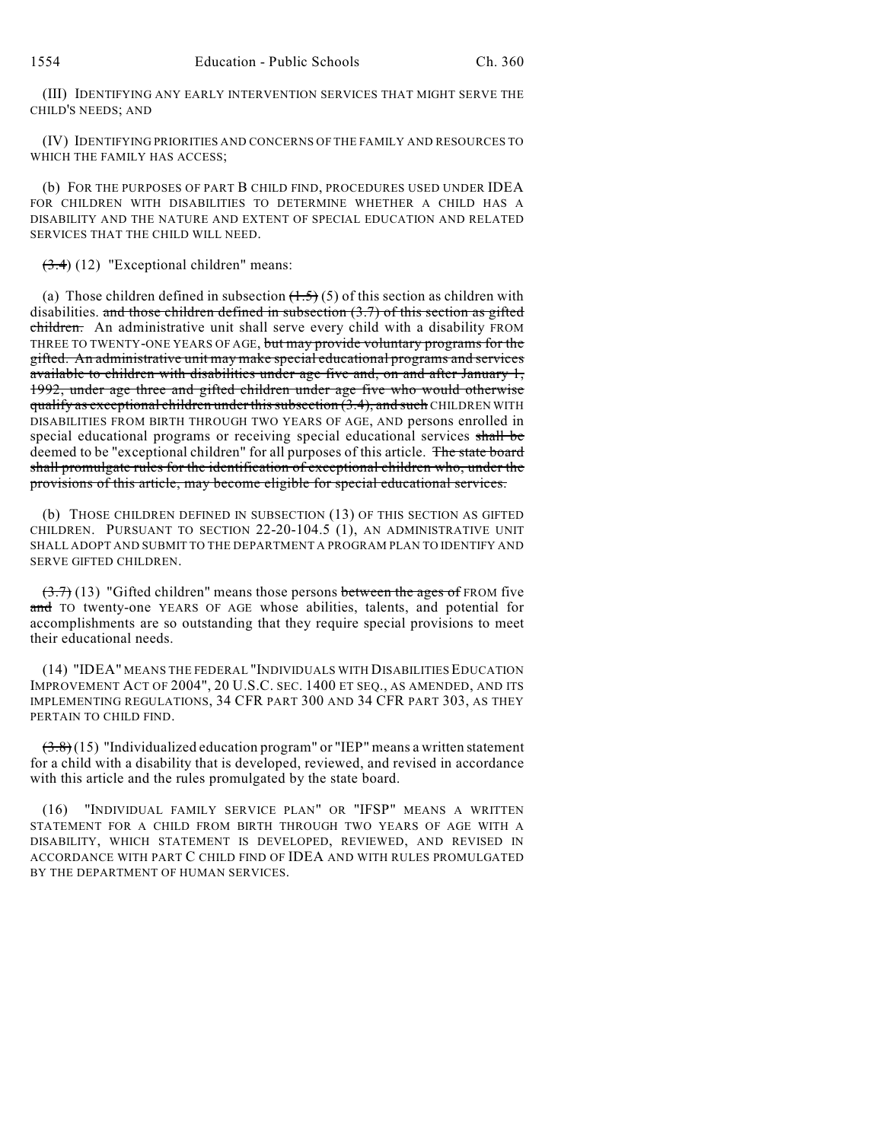(III) IDENTIFYING ANY EARLY INTERVENTION SERVICES THAT MIGHT SERVE THE CHILD'S NEEDS; AND

(IV) IDENTIFYING PRIORITIES AND CONCERNS OF THE FAMILY AND RESOURCES TO WHICH THE FAMILY HAS ACCESS:

(b) FOR THE PURPOSES OF PART B CHILD FIND, PROCEDURES USED UNDER IDEA FOR CHILDREN WITH DISABILITIES TO DETERMINE WHETHER A CHILD HAS A DISABILITY AND THE NATURE AND EXTENT OF SPECIAL EDUCATION AND RELATED SERVICES THAT THE CHILD WILL NEED.

 $(3.4)$  (12) "Exceptional children" means:

(a) Those children defined in subsection  $(1.5)$  (5) of this section as children with disabilities. and those children defined in subsection  $(3.7)$  of this section as gifted children. An administrative unit shall serve every child with a disability FROM THREE TO TWENTY-ONE YEARS OF AGE, but may provide voluntary programs for the gifted. An administrative unit may make special educational programs and services available to children with disabilities under age five and, on and after January 1, 1992, under age three and gifted children under age five who would otherwise qualify as exceptional children under this subsection (3.4), and such CHILDREN WITH DISABILITIES FROM BIRTH THROUGH TWO YEARS OF AGE, AND persons enrolled in special educational programs or receiving special educational services shall be deemed to be "exceptional children" for all purposes of this article. The state board shall promulgate rules for the identification of exceptional children who, under the provisions of this article, may become eligible for special educational services.

(b) THOSE CHILDREN DEFINED IN SUBSECTION (13) OF THIS SECTION AS GIFTED CHILDREN. PURSUANT TO SECTION 22-20-104.5 (1), AN ADMINISTRATIVE UNIT SHALL ADOPT AND SUBMIT TO THE DEPARTMENT A PROGRAM PLAN TO IDENTIFY AND SERVE GIFTED CHILDREN.

 $(3.7)$  (13) "Gifted children" means those persons between the ages of FROM five and TO twenty-one YEARS OF AGE whose abilities, talents, and potential for accomplishments are so outstanding that they require special provisions to meet their educational needs.

(14) "IDEA" MEANS THE FEDERAL "INDIVIDUALS WITH DISABILITIES EDUCATION IMPROVEMENT ACT OF 2004", 20 U.S.C. SEC. 1400 ET SEQ., AS AMENDED, AND ITS IMPLEMENTING REGULATIONS, 34 CFR PART 300 AND 34 CFR PART 303, AS THEY PERTAIN TO CHILD FIND.

 $(3.8)(15)$  "Individualized education program" or "IEP" means a written statement for a child with a disability that is developed, reviewed, and revised in accordance with this article and the rules promulgated by the state board.

(16) "INDIVIDUAL FAMILY SERVICE PLAN" OR "IFSP" MEANS A WRITTEN STATEMENT FOR A CHILD FROM BIRTH THROUGH TWO YEARS OF AGE WITH A DISABILITY, WHICH STATEMENT IS DEVELOPED, REVIEWED, AND REVISED IN ACCORDANCE WITH PART C CHILD FIND OF IDEA AND WITH RULES PROMULGATED BY THE DEPARTMENT OF HUMAN SERVICES.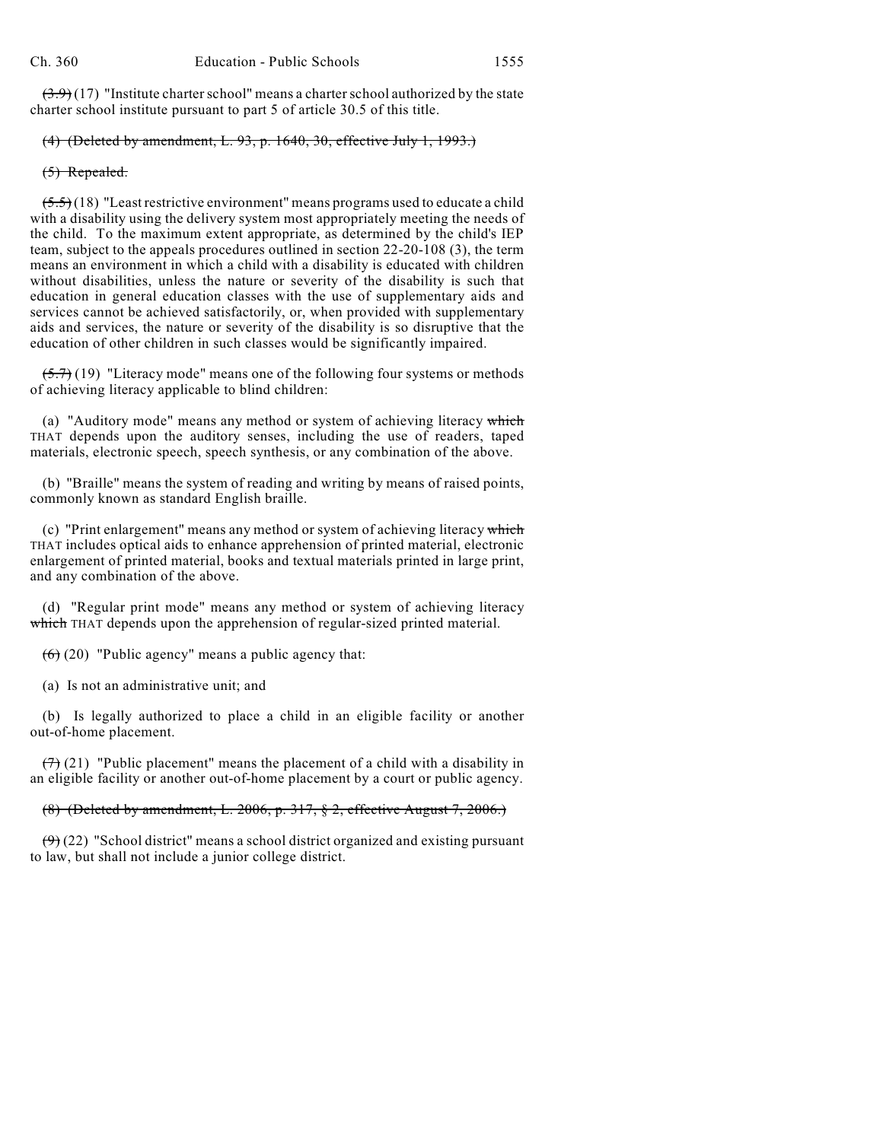$(3.9)(17)$  "Institute charter school" means a charter school authorized by the state charter school institute pursuant to part 5 of article 30.5 of this title.

## (4) (Deleted by amendment, L. 93, p. 1640, 30, effective July 1, 1993.)

### (5) Repealed.

 $(5.5)(18)$  "Least restrictive environment" means programs used to educate a child with a disability using the delivery system most appropriately meeting the needs of the child. To the maximum extent appropriate, as determined by the child's IEP team, subject to the appeals procedures outlined in section 22-20-108 (3), the term means an environment in which a child with a disability is educated with children without disabilities, unless the nature or severity of the disability is such that education in general education classes with the use of supplementary aids and services cannot be achieved satisfactorily, or, when provided with supplementary aids and services, the nature or severity of the disability is so disruptive that the education of other children in such classes would be significantly impaired.

 $(5.7)$  (19) "Literacy mode" means one of the following four systems or methods of achieving literacy applicable to blind children:

(a) "Auditory mode" means any method or system of achieving literacy which THAT depends upon the auditory senses, including the use of readers, taped materials, electronic speech, speech synthesis, or any combination of the above.

(b) "Braille" means the system of reading and writing by means of raised points, commonly known as standard English braille.

(c) "Print enlargement" means any method or system of achieving literacy which THAT includes optical aids to enhance apprehension of printed material, electronic enlargement of printed material, books and textual materials printed in large print, and any combination of the above.

(d) "Regular print mode" means any method or system of achieving literacy which THAT depends upon the apprehension of regular-sized printed material.

 $(6)$  (20) "Public agency" means a public agency that:

(a) Is not an administrative unit; and

(b) Is legally authorized to place a child in an eligible facility or another out-of-home placement.

 $(7)$  (21) "Public placement" means the placement of a child with a disability in an eligible facility or another out-of-home placement by a court or public agency.

## (8) (Deleted by amendment, L. 2006, p. 317, § 2, effective August 7, 2006.)

 $(9)$  (22) "School district" means a school district organized and existing pursuant to law, but shall not include a junior college district.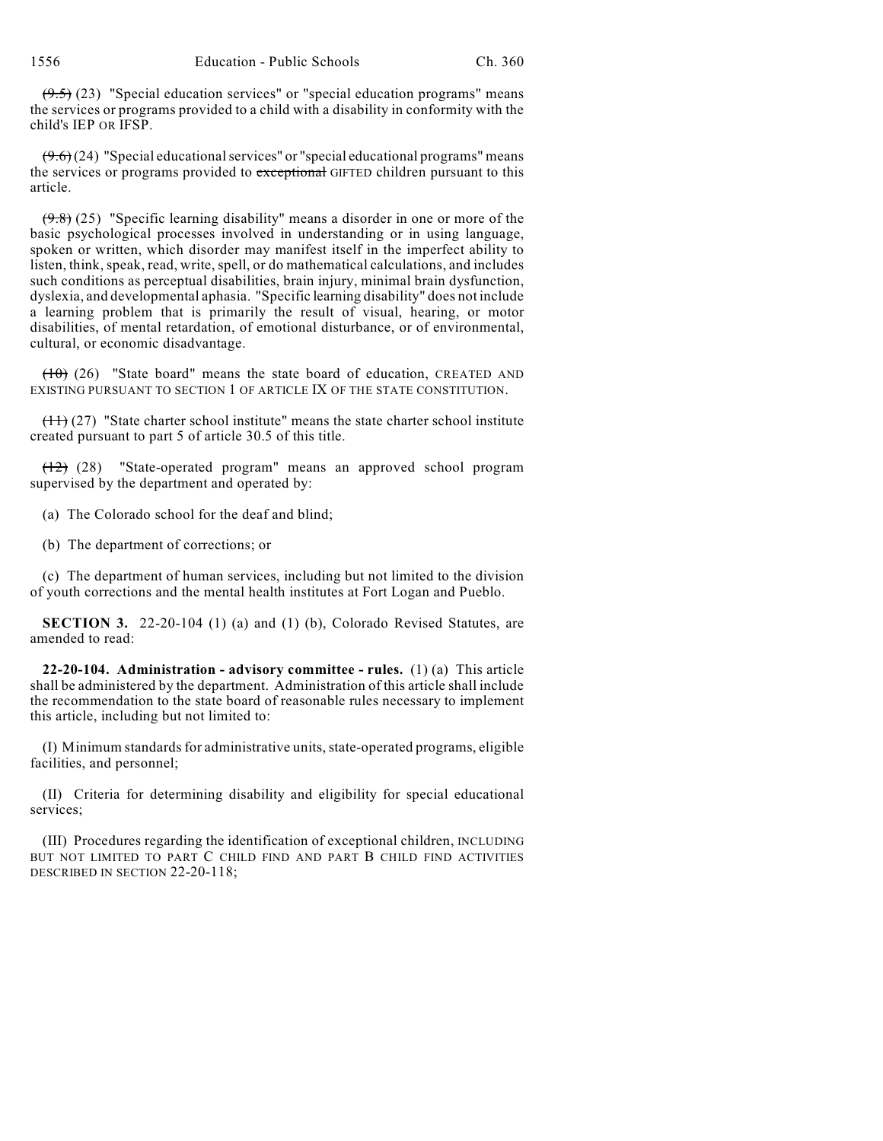$(9.5)$  (23) "Special education services" or "special education programs" means the services or programs provided to a child with a disability in conformity with the child's IEP OR IFSP.

 $(9.6)(24)$  "Special educational services" or "special educational programs" means the services or programs provided to exceptional GIFTED children pursuant to this article.

 $(9.8)$  (25) "Specific learning disability" means a disorder in one or more of the basic psychological processes involved in understanding or in using language, spoken or written, which disorder may manifest itself in the imperfect ability to listen, think, speak, read, write, spell, or do mathematical calculations, and includes such conditions as perceptual disabilities, brain injury, minimal brain dysfunction, dyslexia, and developmental aphasia. "Specific learning disability" does not include a learning problem that is primarily the result of visual, hearing, or motor disabilities, of mental retardation, of emotional disturbance, or of environmental, cultural, or economic disadvantage.

 $(10)$  (26) "State board" means the state board of education, CREATED AND EXISTING PURSUANT TO SECTION 1 OF ARTICLE IX OF THE STATE CONSTITUTION.

 $(11)$  (27) "State charter school institute" means the state charter school institute created pursuant to part 5 of article 30.5 of this title.

(12) (28) "State-operated program" means an approved school program supervised by the department and operated by:

(a) The Colorado school for the deaf and blind;

(b) The department of corrections; or

(c) The department of human services, including but not limited to the division of youth corrections and the mental health institutes at Fort Logan and Pueblo.

**SECTION 3.** 22-20-104 (1) (a) and (1) (b), Colorado Revised Statutes, are amended to read:

**22-20-104. Administration - advisory committee - rules.** (1) (a) This article shall be administered by the department. Administration of this article shall include the recommendation to the state board of reasonable rules necessary to implement this article, including but not limited to:

(I) Minimum standards for administrative units, state-operated programs, eligible facilities, and personnel;

(II) Criteria for determining disability and eligibility for special educational services;

(III) Procedures regarding the identification of exceptional children, INCLUDING BUT NOT LIMITED TO PART C CHILD FIND AND PART B CHILD FIND ACTIVITIES DESCRIBED IN SECTION 22-20-118;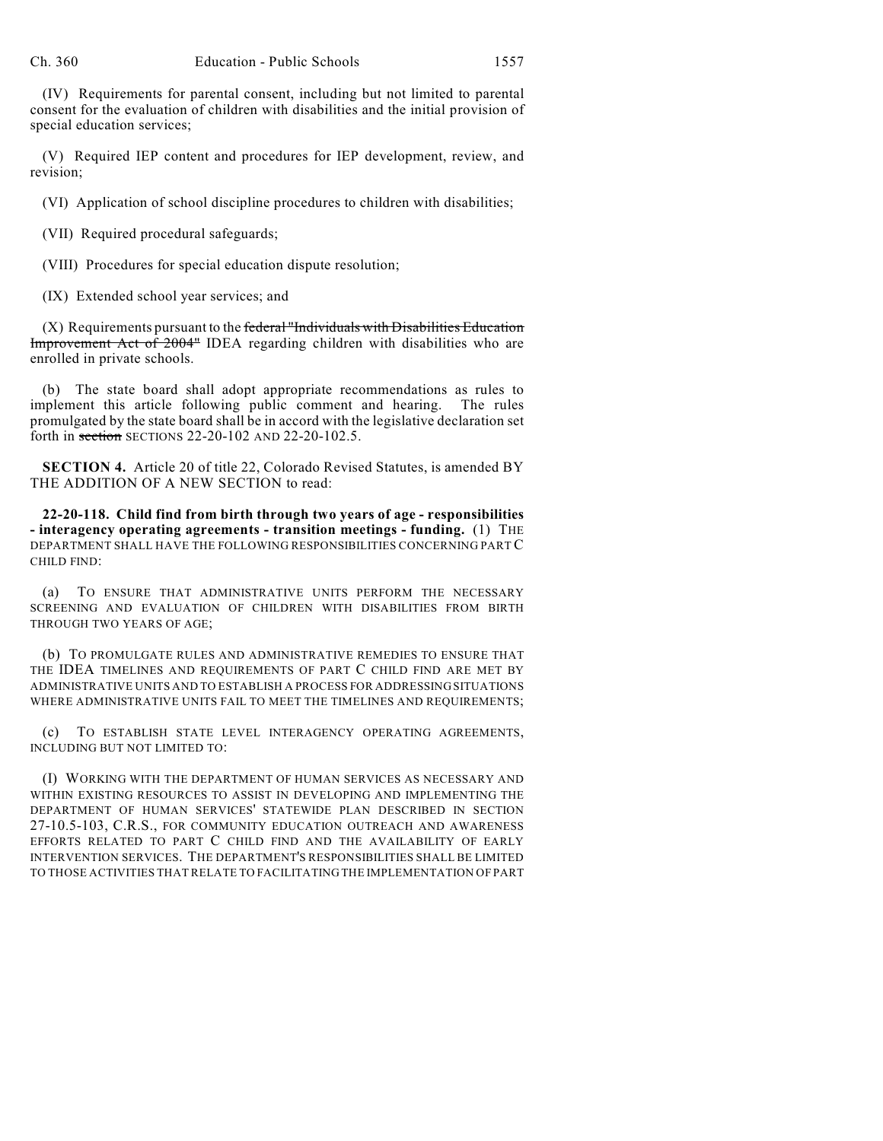(IV) Requirements for parental consent, including but not limited to parental consent for the evaluation of children with disabilities and the initial provision of special education services;

(V) Required IEP content and procedures for IEP development, review, and revision;

(VI) Application of school discipline procedures to children with disabilities;

(VII) Required procedural safeguards;

(VIII) Procedures for special education dispute resolution;

(IX) Extended school year services; and

 $(X)$  Requirements pursuant to the federal "Individuals with Disabilities Education Improvement Act of 2004<sup>"</sup> IDEA regarding children with disabilities who are enrolled in private schools.

(b) The state board shall adopt appropriate recommendations as rules to implement this article following public comment and hearing. The rules promulgated by the state board shall be in accord with the legislative declaration set forth in section SECTIONS 22-20-102 AND 22-20-102.5.

**SECTION 4.** Article 20 of title 22, Colorado Revised Statutes, is amended BY THE ADDITION OF A NEW SECTION to read:

**22-20-118. Child find from birth through two years of age - responsibilities - interagency operating agreements - transition meetings - funding.** (1) THE DEPARTMENT SHALL HAVE THE FOLLOWING RESPONSIBILITIES CONCERNING PART C CHILD FIND:

(a) TO ENSURE THAT ADMINISTRATIVE UNITS PERFORM THE NECESSARY SCREENING AND EVALUATION OF CHILDREN WITH DISABILITIES FROM BIRTH THROUGH TWO YEARS OF AGE;

(b) TO PROMULGATE RULES AND ADMINISTRATIVE REMEDIES TO ENSURE THAT THE IDEA TIMELINES AND REQUIREMENTS OF PART C CHILD FIND ARE MET BY ADMINISTRATIVE UNITS AND TO ESTABLISH A PROCESS FOR ADDRESSING SITUATIONS WHERE ADMINISTRATIVE UNITS FAIL TO MEET THE TIMELINES AND REQUIREMENTS;

(c) TO ESTABLISH STATE LEVEL INTERAGENCY OPERATING AGREEMENTS, INCLUDING BUT NOT LIMITED TO:

(I) WORKING WITH THE DEPARTMENT OF HUMAN SERVICES AS NECESSARY AND WITHIN EXISTING RESOURCES TO ASSIST IN DEVELOPING AND IMPLEMENTING THE DEPARTMENT OF HUMAN SERVICES' STATEWIDE PLAN DESCRIBED IN SECTION 27-10.5-103, C.R.S., FOR COMMUNITY EDUCATION OUTREACH AND AWARENESS EFFORTS RELATED TO PART C CHILD FIND AND THE AVAILABILITY OF EARLY INTERVENTION SERVICES. THE DEPARTMENT'S RESPONSIBILITIES SHALL BE LIMITED TO THOSE ACTIVITIES THAT RELATE TO FACILITATING THE IMPLEMENTATION OF PART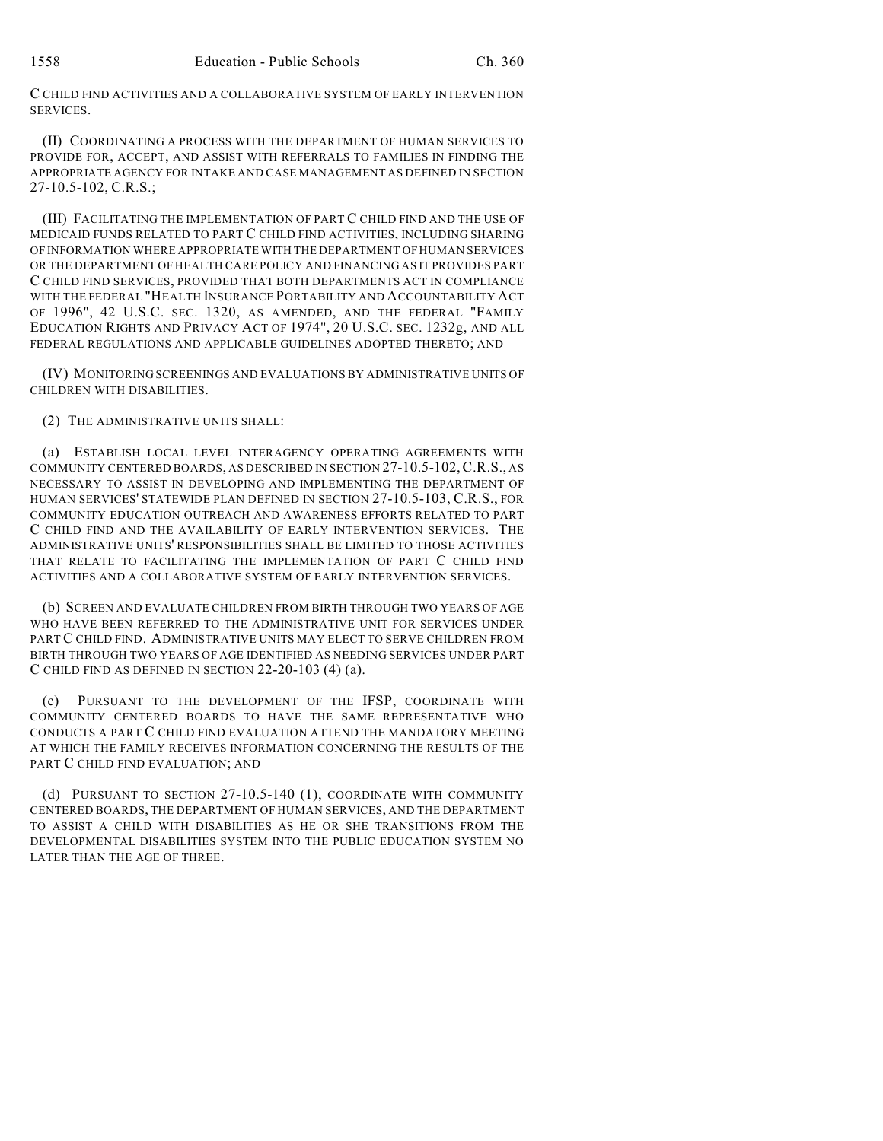C CHILD FIND ACTIVITIES AND A COLLABORATIVE SYSTEM OF EARLY INTERVENTION SERVICES.

(II) COORDINATING A PROCESS WITH THE DEPARTMENT OF HUMAN SERVICES TO PROVIDE FOR, ACCEPT, AND ASSIST WITH REFERRALS TO FAMILIES IN FINDING THE APPROPRIATE AGENCY FOR INTAKE AND CASE MANAGEMENT AS DEFINED IN SECTION 27-10.5-102, C.R.S.;

(III) FACILITATING THE IMPLEMENTATION OF PART C CHILD FIND AND THE USE OF MEDICAID FUNDS RELATED TO PART C CHILD FIND ACTIVITIES, INCLUDING SHARING OF INFORMATION WHERE APPROPRIATE WITH THE DEPARTMENT OF HUMAN SERVICES OR THE DEPARTMENT OF HEALTH CARE POLICY AND FINANCING AS IT PROVIDES PART C CHILD FIND SERVICES, PROVIDED THAT BOTH DEPARTMENTS ACT IN COMPLIANCE WITH THE FEDERAL "HEALTH INSURANCE PORTABILITY AND ACCOUNTABILITY ACT OF 1996", 42 U.S.C. SEC. 1320, AS AMENDED, AND THE FEDERAL "FAMILY EDUCATION RIGHTS AND PRIVACY ACT OF 1974", 20 U.S.C. SEC. 1232g, AND ALL FEDERAL REGULATIONS AND APPLICABLE GUIDELINES ADOPTED THERETO; AND

(IV) MONITORING SCREENINGS AND EVALUATIONS BY ADMINISTRATIVE UNITS OF CHILDREN WITH DISABILITIES.

#### (2) THE ADMINISTRATIVE UNITS SHALL:

(a) ESTABLISH LOCAL LEVEL INTERAGENCY OPERATING AGREEMENTS WITH COMMUNITY CENTERED BOARDS, AS DESCRIBED IN SECTION 27-10.5-102,C.R.S., AS NECESSARY TO ASSIST IN DEVELOPING AND IMPLEMENTING THE DEPARTMENT OF HUMAN SERVICES' STATEWIDE PLAN DEFINED IN SECTION 27-10.5-103, C.R.S., FOR COMMUNITY EDUCATION OUTREACH AND AWARENESS EFFORTS RELATED TO PART C CHILD FIND AND THE AVAILABILITY OF EARLY INTERVENTION SERVICES. THE ADMINISTRATIVE UNITS' RESPONSIBILITIES SHALL BE LIMITED TO THOSE ACTIVITIES THAT RELATE TO FACILITATING THE IMPLEMENTATION OF PART C CHILD FIND ACTIVITIES AND A COLLABORATIVE SYSTEM OF EARLY INTERVENTION SERVICES.

(b) SCREEN AND EVALUATE CHILDREN FROM BIRTH THROUGH TWO YEARS OF AGE WHO HAVE BEEN REFERRED TO THE ADMINISTRATIVE UNIT FOR SERVICES UNDER PART C CHILD FIND. ADMINISTRATIVE UNITS MAY ELECT TO SERVE CHILDREN FROM BIRTH THROUGH TWO YEARS OF AGE IDENTIFIED AS NEEDING SERVICES UNDER PART C CHILD FIND AS DEFINED IN SECTION 22-20-103 (4) (a).

(c) PURSUANT TO THE DEVELOPMENT OF THE IFSP, COORDINATE WITH COMMUNITY CENTERED BOARDS TO HAVE THE SAME REPRESENTATIVE WHO CONDUCTS A PART C CHILD FIND EVALUATION ATTEND THE MANDATORY MEETING AT WHICH THE FAMILY RECEIVES INFORMATION CONCERNING THE RESULTS OF THE PART C CHILD FIND EVALUATION; AND

(d) PURSUANT TO SECTION 27-10.5-140 (1), COORDINATE WITH COMMUNITY CENTERED BOARDS, THE DEPARTMENT OF HUMAN SERVICES, AND THE DEPARTMENT TO ASSIST A CHILD WITH DISABILITIES AS HE OR SHE TRANSITIONS FROM THE DEVELOPMENTAL DISABILITIES SYSTEM INTO THE PUBLIC EDUCATION SYSTEM NO LATER THAN THE AGE OF THREE.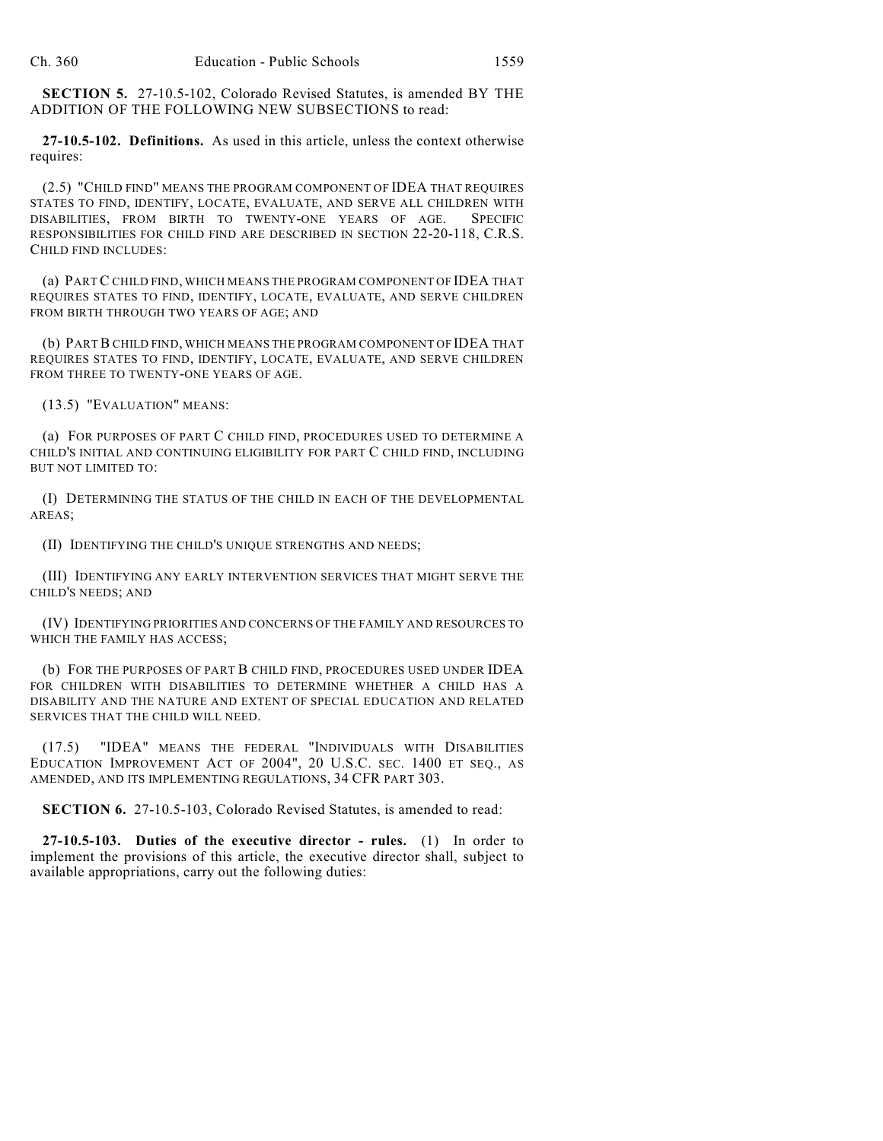**SECTION 5.** 27-10.5-102, Colorado Revised Statutes, is amended BY THE ADDITION OF THE FOLLOWING NEW SUBSECTIONS to read:

**27-10.5-102. Definitions.** As used in this article, unless the context otherwise requires:

(2.5) "CHILD FIND" MEANS THE PROGRAM COMPONENT OF IDEA THAT REQUIRES STATES TO FIND, IDENTIFY, LOCATE, EVALUATE, AND SERVE ALL CHILDREN WITH DISABILITIES, FROM BIRTH TO TWENTY-ONE YEARS OF AGE. SPECIFIC RESPONSIBILITIES FOR CHILD FIND ARE DESCRIBED IN SECTION 22-20-118, C.R.S. CHILD FIND INCLUDES:

(a) PART C CHILD FIND, WHICH MEANS THE PROGRAM COMPONENT OF IDEA THAT REQUIRES STATES TO FIND, IDENTIFY, LOCATE, EVALUATE, AND SERVE CHILDREN FROM BIRTH THROUGH TWO YEARS OF AGE; AND

(b) PART B CHILD FIND, WHICH MEANS THE PROGRAM COMPONENT OF IDEA THAT REQUIRES STATES TO FIND, IDENTIFY, LOCATE, EVALUATE, AND SERVE CHILDREN FROM THREE TO TWENTY-ONE YEARS OF AGE.

(13.5) "EVALUATION" MEANS:

(a) FOR PURPOSES OF PART C CHILD FIND, PROCEDURES USED TO DETERMINE A CHILD'S INITIAL AND CONTINUING ELIGIBILITY FOR PART C CHILD FIND, INCLUDING BUT NOT LIMITED TO:

(I) DETERMINING THE STATUS OF THE CHILD IN EACH OF THE DEVELOPMENTAL AREAS;

(II) IDENTIFYING THE CHILD'S UNIQUE STRENGTHS AND NEEDS;

(III) IDENTIFYING ANY EARLY INTERVENTION SERVICES THAT MIGHT SERVE THE CHILD'S NEEDS; AND

(IV) IDENTIFYING PRIORITIES AND CONCERNS OF THE FAMILY AND RESOURCES TO WHICH THE FAMILY HAS ACCESS;

(b) FOR THE PURPOSES OF PART B CHILD FIND, PROCEDURES USED UNDER IDEA FOR CHILDREN WITH DISABILITIES TO DETERMINE WHETHER A CHILD HAS A DISABILITY AND THE NATURE AND EXTENT OF SPECIAL EDUCATION AND RELATED SERVICES THAT THE CHILD WILL NEED.

(17.5) "IDEA" MEANS THE FEDERAL "INDIVIDUALS WITH DISABILITIES EDUCATION IMPROVEMENT ACT OF 2004", 20 U.S.C. SEC. 1400 ET SEQ., AS AMENDED, AND ITS IMPLEMENTING REGULATIONS, 34 CFR PART 303.

**SECTION 6.** 27-10.5-103, Colorado Revised Statutes, is amended to read:

**27-10.5-103. Duties of the executive director - rules.** (1) In order to implement the provisions of this article, the executive director shall, subject to available appropriations, carry out the following duties: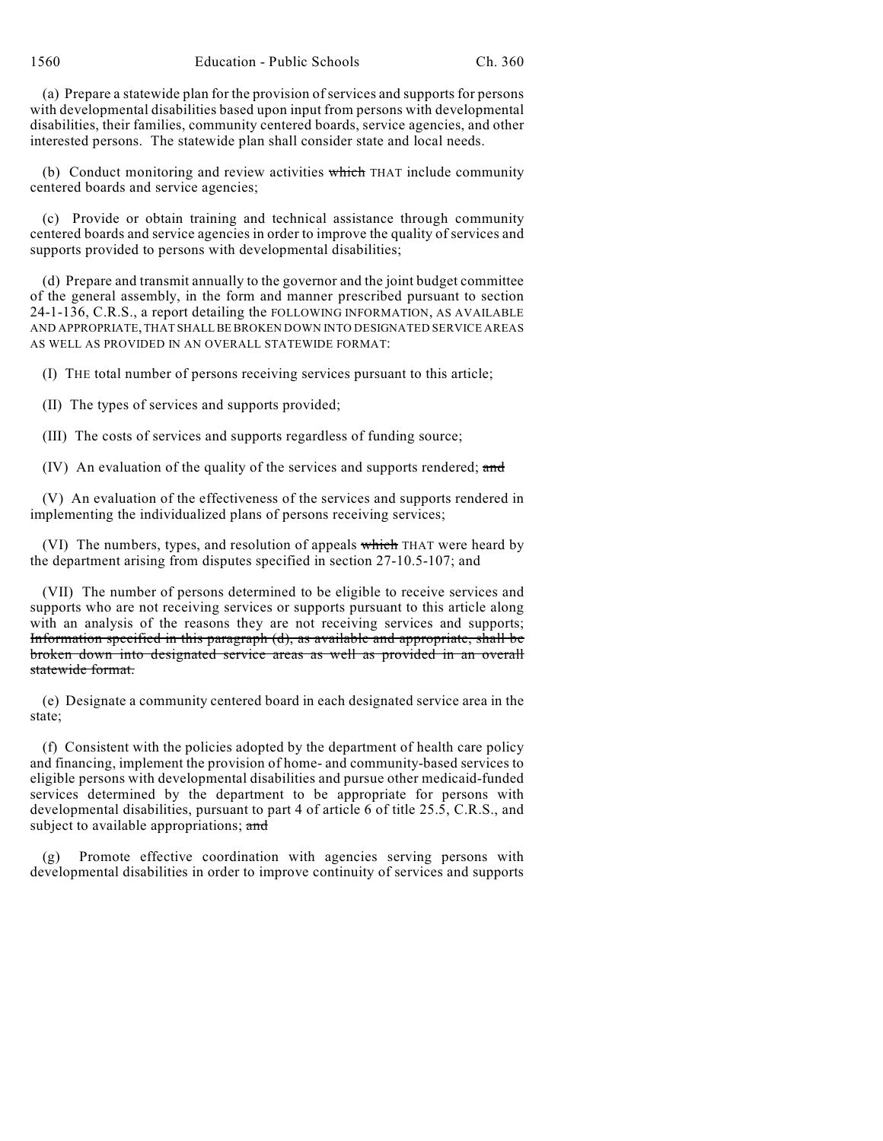(a) Prepare a statewide plan for the provision of services and supports for persons with developmental disabilities based upon input from persons with developmental disabilities, their families, community centered boards, service agencies, and other interested persons. The statewide plan shall consider state and local needs.

(b) Conduct monitoring and review activities which THAT include community centered boards and service agencies;

(c) Provide or obtain training and technical assistance through community centered boards and service agencies in order to improve the quality of services and supports provided to persons with developmental disabilities;

(d) Prepare and transmit annually to the governor and the joint budget committee of the general assembly, in the form and manner prescribed pursuant to section 24-1-136, C.R.S., a report detailing the FOLLOWING INFORMATION, AS AVAILABLE AND APPROPRIATE, THAT SHALL BE BROKEN DOWN INTO DESIGNATED SERVICE AREAS AS WELL AS PROVIDED IN AN OVERALL STATEWIDE FORMAT:

(I) THE total number of persons receiving services pursuant to this article;

(II) The types of services and supports provided;

(III) The costs of services and supports regardless of funding source;

(IV) An evaluation of the quality of the services and supports rendered; and

(V) An evaluation of the effectiveness of the services and supports rendered in implementing the individualized plans of persons receiving services;

(VI) The numbers, types, and resolution of appeals which THAT were heard by the department arising from disputes specified in section 27-10.5-107; and

(VII) The number of persons determined to be eligible to receive services and supports who are not receiving services or supports pursuant to this article along with an analysis of the reasons they are not receiving services and supports; Information specified in this paragraph (d), as available and appropriate, shall be broken down into designated service areas as well as provided in an overall statewide format.

(e) Designate a community centered board in each designated service area in the state;

(f) Consistent with the policies adopted by the department of health care policy and financing, implement the provision of home- and community-based services to eligible persons with developmental disabilities and pursue other medicaid-funded services determined by the department to be appropriate for persons with developmental disabilities, pursuant to part 4 of article 6 of title 25.5, C.R.S., and subject to available appropriations; and

(g) Promote effective coordination with agencies serving persons with developmental disabilities in order to improve continuity of services and supports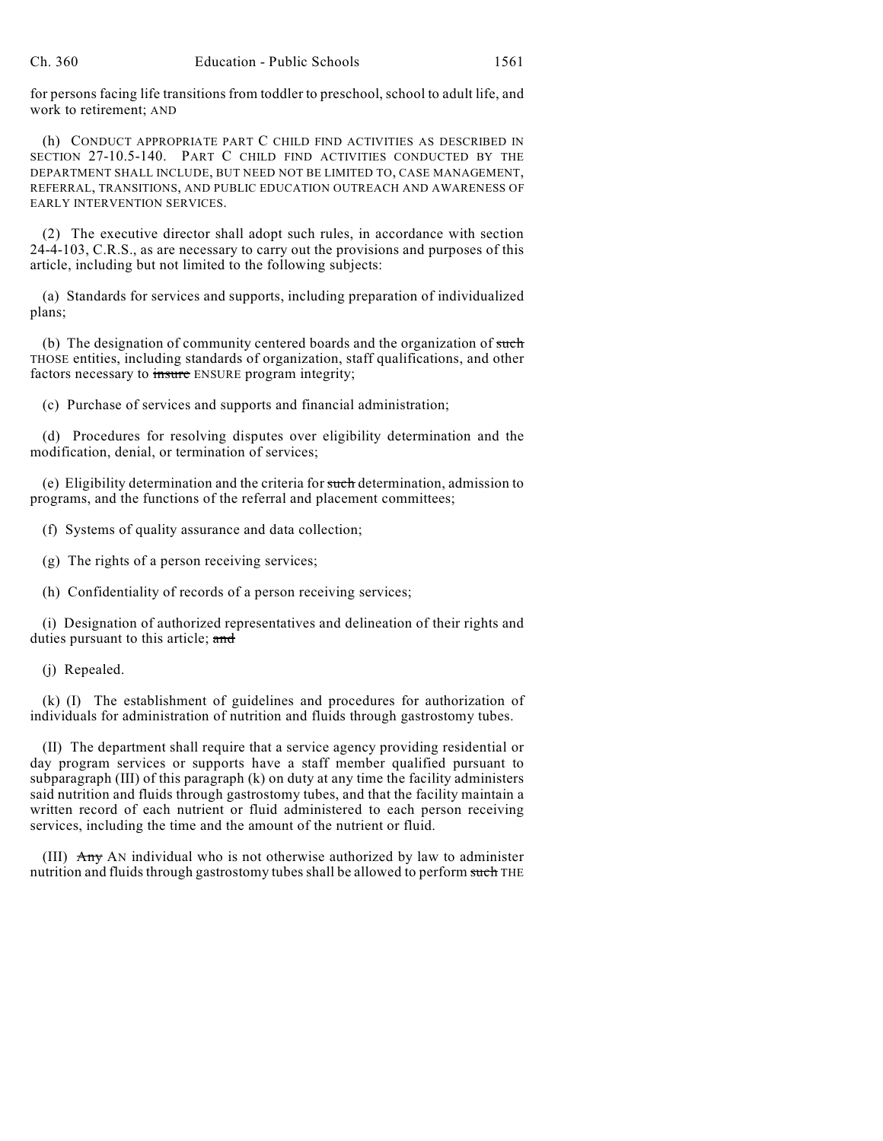for persons facing life transitions from toddler to preschool, school to adult life, and work to retirement; AND

(h) CONDUCT APPROPRIATE PART C CHILD FIND ACTIVITIES AS DESCRIBED IN SECTION 27-10.5-140. PART C CHILD FIND ACTIVITIES CONDUCTED BY THE DEPARTMENT SHALL INCLUDE, BUT NEED NOT BE LIMITED TO, CASE MANAGEMENT, REFERRAL, TRANSITIONS, AND PUBLIC EDUCATION OUTREACH AND AWARENESS OF EARLY INTERVENTION SERVICES.

(2) The executive director shall adopt such rules, in accordance with section 24-4-103, C.R.S., as are necessary to carry out the provisions and purposes of this article, including but not limited to the following subjects:

(a) Standards for services and supports, including preparation of individualized plans;

(b) The designation of community centered boards and the organization of such THOSE entities, including standards of organization, staff qualifications, and other factors necessary to insure ENSURE program integrity;

(c) Purchase of services and supports and financial administration;

(d) Procedures for resolving disputes over eligibility determination and the modification, denial, or termination of services;

(e) Eligibility determination and the criteria for such determination, admission to programs, and the functions of the referral and placement committees;

(f) Systems of quality assurance and data collection;

- (g) The rights of a person receiving services;
- (h) Confidentiality of records of a person receiving services;

(i) Designation of authorized representatives and delineation of their rights and duties pursuant to this article; and

(j) Repealed.

(k) (I) The establishment of guidelines and procedures for authorization of individuals for administration of nutrition and fluids through gastrostomy tubes.

(II) The department shall require that a service agency providing residential or day program services or supports have a staff member qualified pursuant to subparagraph  $(III)$  of this paragraph  $(k)$  on duty at any time the facility administers said nutrition and fluids through gastrostomy tubes, and that the facility maintain a written record of each nutrient or fluid administered to each person receiving services, including the time and the amount of the nutrient or fluid.

(III)  $\text{Any}$  AN individual who is not otherwise authorized by law to administer nutrition and fluids through gastrostomy tubes shall be allowed to perform such THE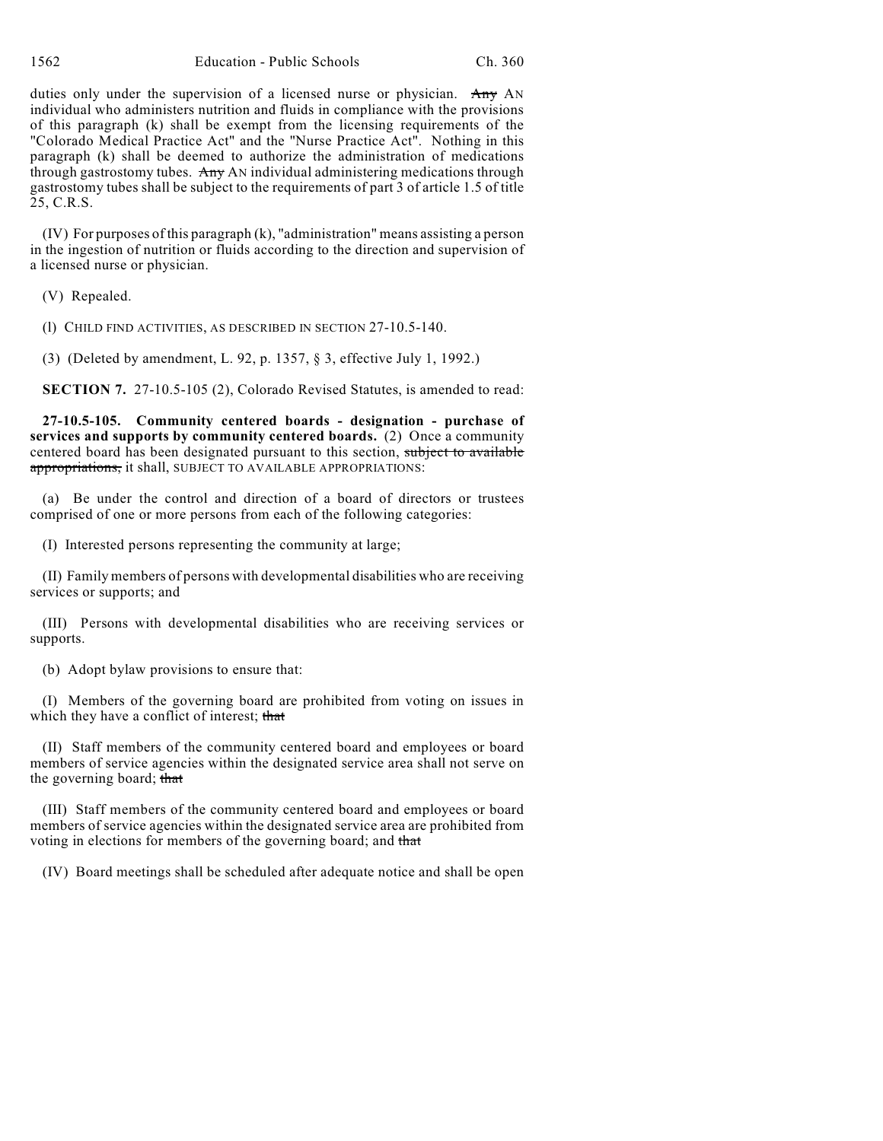duties only under the supervision of a licensed nurse or physician. Any AN individual who administers nutrition and fluids in compliance with the provisions of this paragraph (k) shall be exempt from the licensing requirements of the "Colorado Medical Practice Act" and the "Nurse Practice Act". Nothing in this paragraph (k) shall be deemed to authorize the administration of medications through gastrostomy tubes. Any AN individual administering medications through gastrostomy tubes shall be subject to the requirements of part 3 of article 1.5 of title 25, C.R.S.

(IV) For purposes of this paragraph (k), "administration" means assisting a person in the ingestion of nutrition or fluids according to the direction and supervision of a licensed nurse or physician.

(V) Repealed.

(l) CHILD FIND ACTIVITIES, AS DESCRIBED IN SECTION 27-10.5-140.

(3) (Deleted by amendment, L. 92, p. 1357, § 3, effective July 1, 1992.)

**SECTION 7.** 27-10.5-105 (2), Colorado Revised Statutes, is amended to read:

**27-10.5-105. Community centered boards - designation - purchase of services and supports by community centered boards.** (2) Once a community centered board has been designated pursuant to this section, subject to available appropriations, it shall, SUBJECT TO AVAILABLE APPROPRIATIONS:

(a) Be under the control and direction of a board of directors or trustees comprised of one or more persons from each of the following categories:

(I) Interested persons representing the community at large;

(II) Family members of persons with developmental disabilities who are receiving services or supports; and

(III) Persons with developmental disabilities who are receiving services or supports.

(b) Adopt bylaw provisions to ensure that:

(I) Members of the governing board are prohibited from voting on issues in which they have a conflict of interest; that

(II) Staff members of the community centered board and employees or board members of service agencies within the designated service area shall not serve on the governing board; that

(III) Staff members of the community centered board and employees or board members of service agencies within the designated service area are prohibited from voting in elections for members of the governing board; and that

(IV) Board meetings shall be scheduled after adequate notice and shall be open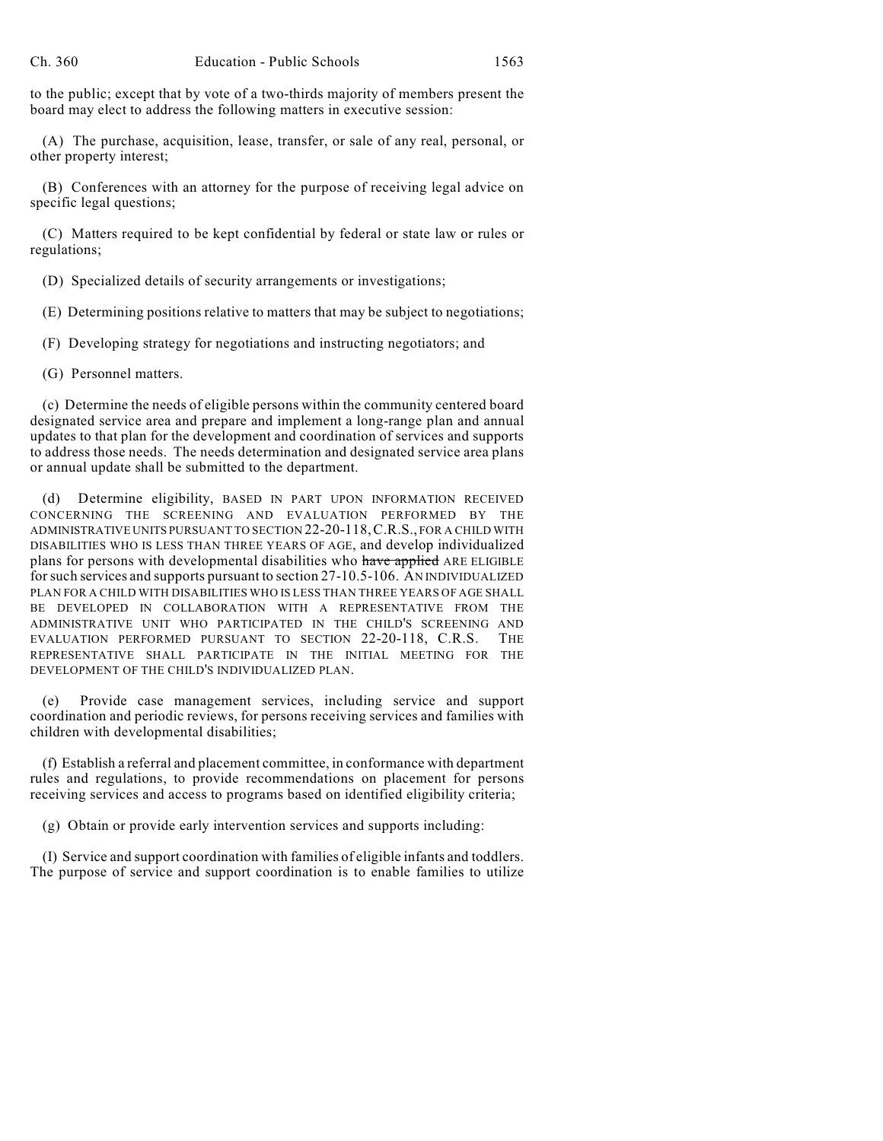to the public; except that by vote of a two-thirds majority of members present the board may elect to address the following matters in executive session:

(A) The purchase, acquisition, lease, transfer, or sale of any real, personal, or other property interest;

(B) Conferences with an attorney for the purpose of receiving legal advice on specific legal questions;

(C) Matters required to be kept confidential by federal or state law or rules or regulations;

(D) Specialized details of security arrangements or investigations;

(E) Determining positions relative to matters that may be subject to negotiations;

(F) Developing strategy for negotiations and instructing negotiators; and

(G) Personnel matters.

(c) Determine the needs of eligible persons within the community centered board designated service area and prepare and implement a long-range plan and annual updates to that plan for the development and coordination of services and supports to address those needs. The needs determination and designated service area plans or annual update shall be submitted to the department.

(d) Determine eligibility, BASED IN PART UPON INFORMATION RECEIVED CONCERNING THE SCREENING AND EVALUATION PERFORMED BY THE ADMINISTRATIVE UNITS PURSUANT TO SECTION 22-20-118,C.R.S., FOR A CHILD WITH DISABILITIES WHO IS LESS THAN THREE YEARS OF AGE, and develop individualized plans for persons with developmental disabilities who have applied ARE ELIGIBLE for such services and supports pursuant to section 27-10.5-106. AN INDIVIDUALIZED PLAN FOR A CHILD WITH DISABILITIES WHO IS LESS THAN THREE YEARS OF AGE SHALL BE DEVELOPED IN COLLABORATION WITH A REPRESENTATIVE FROM THE ADMINISTRATIVE UNIT WHO PARTICIPATED IN THE CHILD'S SCREENING AND EVALUATION PERFORMED PURSUANT TO SECTION 22-20-118, C.R.S. THE REPRESENTATIVE SHALL PARTICIPATE IN THE INITIAL MEETING FOR THE DEVELOPMENT OF THE CHILD'S INDIVIDUALIZED PLAN.

(e) Provide case management services, including service and support coordination and periodic reviews, for persons receiving services and families with children with developmental disabilities;

(f) Establish a referral and placement committee, in conformance with department rules and regulations, to provide recommendations on placement for persons receiving services and access to programs based on identified eligibility criteria;

(g) Obtain or provide early intervention services and supports including:

(I) Service and support coordination with families of eligible infants and toddlers. The purpose of service and support coordination is to enable families to utilize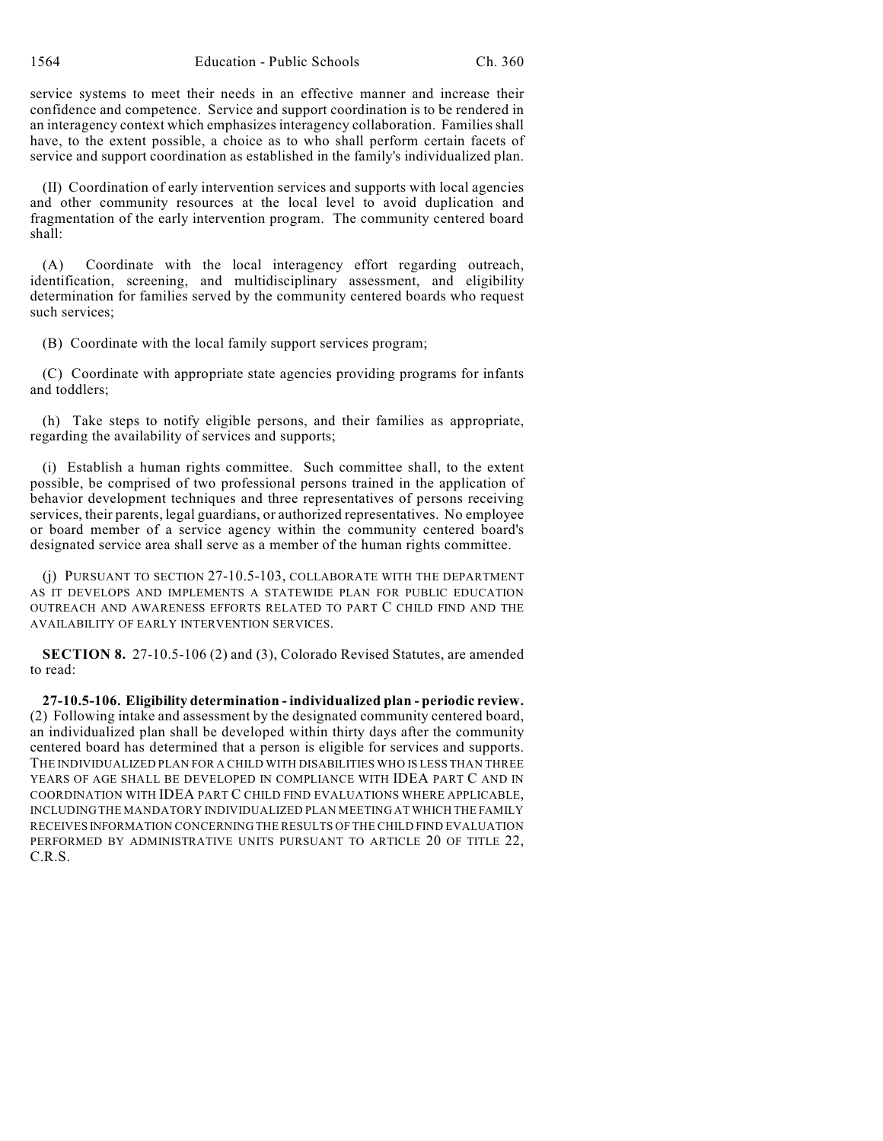service systems to meet their needs in an effective manner and increase their confidence and competence. Service and support coordination is to be rendered in an interagency context which emphasizes interagency collaboration. Families shall have, to the extent possible, a choice as to who shall perform certain facets of service and support coordination as established in the family's individualized plan.

(II) Coordination of early intervention services and supports with local agencies and other community resources at the local level to avoid duplication and fragmentation of the early intervention program. The community centered board shall:

(A) Coordinate with the local interagency effort regarding outreach, identification, screening, and multidisciplinary assessment, and eligibility determination for families served by the community centered boards who request such services;

(B) Coordinate with the local family support services program;

(C) Coordinate with appropriate state agencies providing programs for infants and toddlers;

(h) Take steps to notify eligible persons, and their families as appropriate, regarding the availability of services and supports;

(i) Establish a human rights committee. Such committee shall, to the extent possible, be comprised of two professional persons trained in the application of behavior development techniques and three representatives of persons receiving services, their parents, legal guardians, or authorized representatives. No employee or board member of a service agency within the community centered board's designated service area shall serve as a member of the human rights committee.

(j) PURSUANT TO SECTION 27-10.5-103, COLLABORATE WITH THE DEPARTMENT AS IT DEVELOPS AND IMPLEMENTS A STATEWIDE PLAN FOR PUBLIC EDUCATION OUTREACH AND AWARENESS EFFORTS RELATED TO PART C CHILD FIND AND THE AVAILABILITY OF EARLY INTERVENTION SERVICES.

**SECTION 8.** 27-10.5-106 (2) and (3), Colorado Revised Statutes, are amended to read:

**27-10.5-106. Eligibility determination - individualized plan - periodic review.** (2) Following intake and assessment by the designated community centered board, an individualized plan shall be developed within thirty days after the community centered board has determined that a person is eligible for services and supports. THE INDIVIDUALIZED PLAN FOR A CHILD WITH DISABILITIES WHO IS LESS THAN THREE YEARS OF AGE SHALL BE DEVELOPED IN COMPLIANCE WITH IDEA PART C AND IN COORDINATION WITH IDEA PART C CHILD FIND EVALUATIONS WHERE APPLICABLE, INCLUDING THE MANDATORY INDIVIDUALIZED PLAN MEETING AT WHICH THE FAMILY RECEIVES INFORMATION CONCERNING THE RESULTS OF THE CHILD FIND EVALUATION PERFORMED BY ADMINISTRATIVE UNITS PURSUANT TO ARTICLE 20 OF TITLE 22, C.R.S.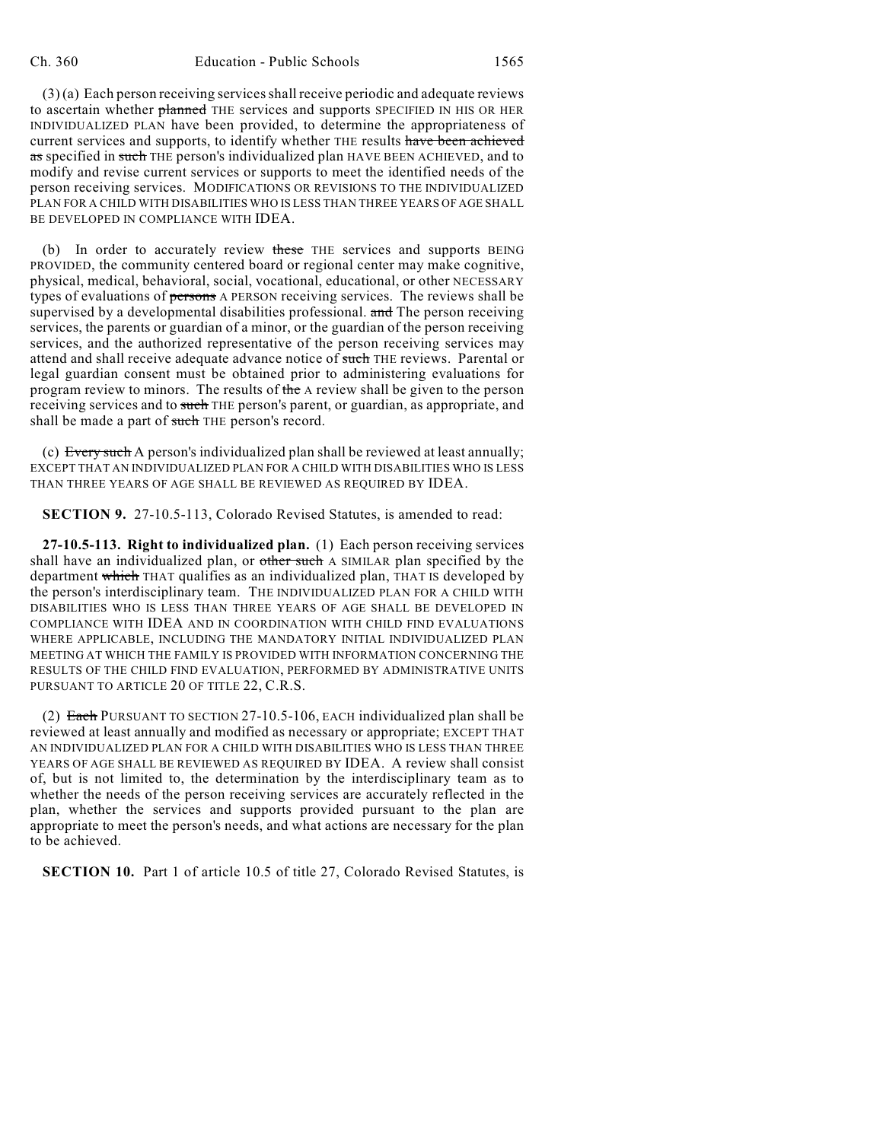(3) (a) Each person receiving services shall receive periodic and adequate reviews to ascertain whether planned THE services and supports SPECIFIED IN HIS OR HER INDIVIDUALIZED PLAN have been provided, to determine the appropriateness of current services and supports, to identify whether THE results have been achieved as specified in such THE person's individualized plan HAVE BEEN ACHIEVED, and to modify and revise current services or supports to meet the identified needs of the person receiving services. MODIFICATIONS OR REVISIONS TO THE INDIVIDUALIZED PLAN FOR A CHILD WITH DISABILITIES WHO IS LESS THAN THREE YEARS OF AGE SHALL BE DEVELOPED IN COMPLIANCE WITH IDEA.

(b) In order to accurately review these THE services and supports BEING PROVIDED, the community centered board or regional center may make cognitive, physical, medical, behavioral, social, vocational, educational, or other NECESSARY types of evaluations of persons A PERSON receiving services. The reviews shall be supervised by a developmental disabilities professional. and The person receiving services, the parents or guardian of a minor, or the guardian of the person receiving services, and the authorized representative of the person receiving services may attend and shall receive adequate advance notice of such THE reviews. Parental or legal guardian consent must be obtained prior to administering evaluations for program review to minors. The results of the A review shall be given to the person receiving services and to such THE person's parent, or guardian, as appropriate, and shall be made a part of such THE person's record.

(c) Every such A person's individualized plan shall be reviewed at least annually; EXCEPT THAT AN INDIVIDUALIZED PLAN FOR A CHILD WITH DISABILITIES WHO IS LESS THAN THREE YEARS OF AGE SHALL BE REVIEWED AS REQUIRED BY IDEA.

**SECTION 9.** 27-10.5-113, Colorado Revised Statutes, is amended to read:

**27-10.5-113. Right to individualized plan.** (1) Each person receiving services shall have an individualized plan, or other such A SIMILAR plan specified by the department which THAT qualifies as an individualized plan, THAT IS developed by the person's interdisciplinary team. THE INDIVIDUALIZED PLAN FOR A CHILD WITH DISABILITIES WHO IS LESS THAN THREE YEARS OF AGE SHALL BE DEVELOPED IN COMPLIANCE WITH IDEA AND IN COORDINATION WITH CHILD FIND EVALUATIONS WHERE APPLICABLE, INCLUDING THE MANDATORY INITIAL INDIVIDUALIZED PLAN MEETING AT WHICH THE FAMILY IS PROVIDED WITH INFORMATION CONCERNING THE RESULTS OF THE CHILD FIND EVALUATION, PERFORMED BY ADMINISTRATIVE UNITS PURSUANT TO ARTICLE 20 OF TITLE 22, C.R.S.

(2) Each PURSUANT TO SECTION 27-10.5-106, EACH individualized plan shall be reviewed at least annually and modified as necessary or appropriate; EXCEPT THAT AN INDIVIDUALIZED PLAN FOR A CHILD WITH DISABILITIES WHO IS LESS THAN THREE YEARS OF AGE SHALL BE REVIEWED AS REQUIRED BY IDEA. A review shall consist of, but is not limited to, the determination by the interdisciplinary team as to whether the needs of the person receiving services are accurately reflected in the plan, whether the services and supports provided pursuant to the plan are appropriate to meet the person's needs, and what actions are necessary for the plan to be achieved.

**SECTION 10.** Part 1 of article 10.5 of title 27, Colorado Revised Statutes, is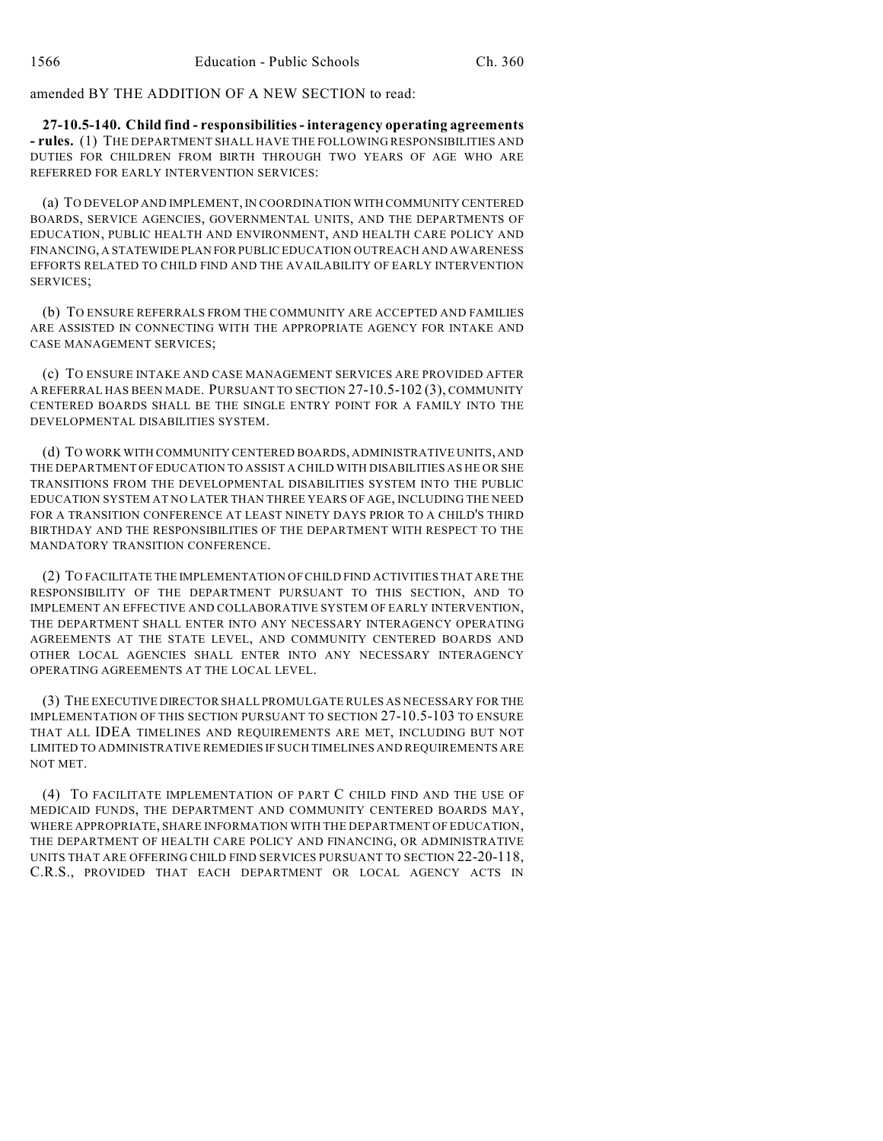amended BY THE ADDITION OF A NEW SECTION to read:

**27-10.5-140. Child find - responsibilities - interagency operating agreements - rules.** (1) THE DEPARTMENT SHALL HAVE THE FOLLOWING RESPONSIBILITIES AND DUTIES FOR CHILDREN FROM BIRTH THROUGH TWO YEARS OF AGE WHO ARE REFERRED FOR EARLY INTERVENTION SERVICES:

(a) TO DEVELOP AND IMPLEMENT, IN COORDINATION WITH COMMUNITY CENTERED BOARDS, SERVICE AGENCIES, GOVERNMENTAL UNITS, AND THE DEPARTMENTS OF EDUCATION, PUBLIC HEALTH AND ENVIRONMENT, AND HEALTH CARE POLICY AND FINANCING, A STATEWIDE PLAN FOR PUBLIC EDUCATION OUTREACH AND AWARENESS EFFORTS RELATED TO CHILD FIND AND THE AVAILABILITY OF EARLY INTERVENTION SERVICES;

(b) TO ENSURE REFERRALS FROM THE COMMUNITY ARE ACCEPTED AND FAMILIES ARE ASSISTED IN CONNECTING WITH THE APPROPRIATE AGENCY FOR INTAKE AND CASE MANAGEMENT SERVICES;

(c) TO ENSURE INTAKE AND CASE MANAGEMENT SERVICES ARE PROVIDED AFTER A REFERRAL HAS BEEN MADE. PURSUANT TO SECTION 27-10.5-102 (3), COMMUNITY CENTERED BOARDS SHALL BE THE SINGLE ENTRY POINT FOR A FAMILY INTO THE DEVELOPMENTAL DISABILITIES SYSTEM.

(d) TO WORK WITH COMMUNITY CENTERED BOARDS, ADMINISTRATIVE UNITS, AND THE DEPARTMENT OF EDUCATION TO ASSIST A CHILD WITH DISABILITIES AS HE OR SHE TRANSITIONS FROM THE DEVELOPMENTAL DISABILITIES SYSTEM INTO THE PUBLIC EDUCATION SYSTEM AT NO LATER THAN THREE YEARS OF AGE, INCLUDING THE NEED FOR A TRANSITION CONFERENCE AT LEAST NINETY DAYS PRIOR TO A CHILD'S THIRD BIRTHDAY AND THE RESPONSIBILITIES OF THE DEPARTMENT WITH RESPECT TO THE MANDATORY TRANSITION CONFERENCE.

(2) TO FACILITATE THE IMPLEMENTATION OF CHILD FIND ACTIVITIES THAT ARE THE RESPONSIBILITY OF THE DEPARTMENT PURSUANT TO THIS SECTION, AND TO IMPLEMENT AN EFFECTIVE AND COLLABORATIVE SYSTEM OF EARLY INTERVENTION, THE DEPARTMENT SHALL ENTER INTO ANY NECESSARY INTERAGENCY OPERATING AGREEMENTS AT THE STATE LEVEL, AND COMMUNITY CENTERED BOARDS AND OTHER LOCAL AGENCIES SHALL ENTER INTO ANY NECESSARY INTERAGENCY OPERATING AGREEMENTS AT THE LOCAL LEVEL.

(3) THE EXECUTIVE DIRECTOR SHALL PROMULGATE RULES AS NECESSARY FOR THE IMPLEMENTATION OF THIS SECTION PURSUANT TO SECTION 27-10.5-103 TO ENSURE THAT ALL IDEA TIMELINES AND REQUIREMENTS ARE MET, INCLUDING BUT NOT LIMITED TO ADMINISTRATIVE REMEDIES IF SUCH TIMELINES AND REQUIREMENTS ARE NOT MET.

(4) TO FACILITATE IMPLEMENTATION OF PART C CHILD FIND AND THE USE OF MEDICAID FUNDS, THE DEPARTMENT AND COMMUNITY CENTERED BOARDS MAY, WHERE APPROPRIATE, SHARE INFORMATION WITH THE DEPARTMENT OF EDUCATION, THE DEPARTMENT OF HEALTH CARE POLICY AND FINANCING, OR ADMINISTRATIVE UNITS THAT ARE OFFERING CHILD FIND SERVICES PURSUANT TO SECTION 22-20-118, C.R.S., PROVIDED THAT EACH DEPARTMENT OR LOCAL AGENCY ACTS IN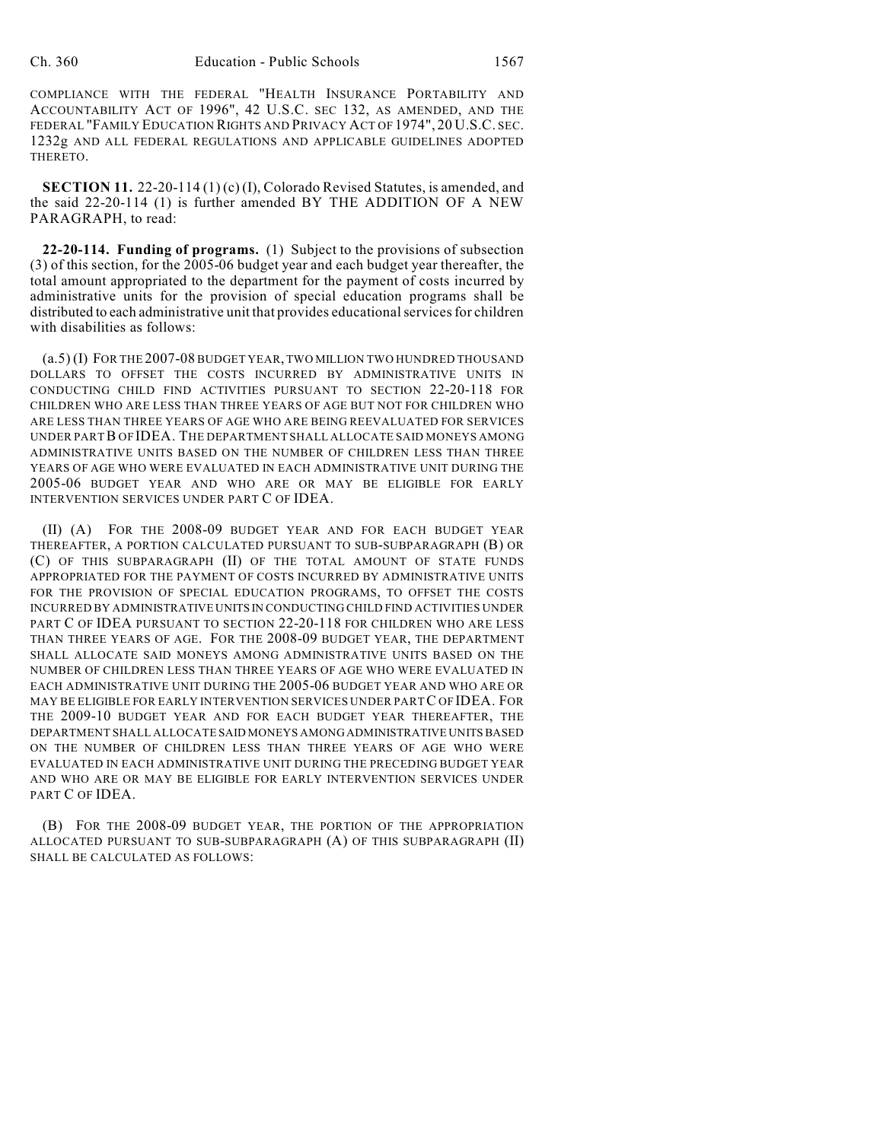COMPLIANCE WITH THE FEDERAL "HEALTH INSURANCE PORTABILITY AND ACCOUNTABILITY ACT OF 1996", 42 U.S.C. SEC 132, AS AMENDED, AND THE FEDERAL "FAMILY EDUCATION RIGHTS AND PRIVACY ACT OF 1974", 20 U.S.C. SEC. 1232g AND ALL FEDERAL REGULATIONS AND APPLICABLE GUIDELINES ADOPTED THERETO.

**SECTION 11.** 22-20-114 (1) (c) (I), Colorado Revised Statutes, is amended, and the said 22-20-114 (1) is further amended BY THE ADDITION OF A NEW PARAGRAPH, to read:

**22-20-114. Funding of programs.** (1) Subject to the provisions of subsection (3) of this section, for the 2005-06 budget year and each budget year thereafter, the total amount appropriated to the department for the payment of costs incurred by administrative units for the provision of special education programs shall be distributed to each administrative unit that provides educational services for children with disabilities as follows:

(a.5) (I) FOR THE 2007-08 BUDGET YEAR, TWO MILLION TWO HUNDRED THOUSAND DOLLARS TO OFFSET THE COSTS INCURRED BY ADMINISTRATIVE UNITS IN CONDUCTING CHILD FIND ACTIVITIES PURSUANT TO SECTION 22-20-118 FOR CHILDREN WHO ARE LESS THAN THREE YEARS OF AGE BUT NOT FOR CHILDREN WHO ARE LESS THAN THREE YEARS OF AGE WHO ARE BEING REEVALUATED FOR SERVICES UNDER PART B OF IDEA. THE DEPARTMENT SHALL ALLOCATE SAID MONEYS AMONG ADMINISTRATIVE UNITS BASED ON THE NUMBER OF CHILDREN LESS THAN THREE YEARS OF AGE WHO WERE EVALUATED IN EACH ADMINISTRATIVE UNIT DURING THE 2005-06 BUDGET YEAR AND WHO ARE OR MAY BE ELIGIBLE FOR EARLY INTERVENTION SERVICES UNDER PART C OF IDEA.

(II) (A) FOR THE 2008-09 BUDGET YEAR AND FOR EACH BUDGET YEAR THEREAFTER, A PORTION CALCULATED PURSUANT TO SUB-SUBPARAGRAPH (B) OR (C) OF THIS SUBPARAGRAPH (II) OF THE TOTAL AMOUNT OF STATE FUNDS APPROPRIATED FOR THE PAYMENT OF COSTS INCURRED BY ADMINISTRATIVE UNITS FOR THE PROVISION OF SPECIAL EDUCATION PROGRAMS, TO OFFSET THE COSTS INCURRED BY ADMINISTRATIVE UNITS IN CONDUCTING CHILD FIND ACTIVITIES UNDER PART C OF IDEA PURSUANT TO SECTION 22-20-118 FOR CHILDREN WHO ARE LESS THAN THREE YEARS OF AGE. FOR THE 2008-09 BUDGET YEAR, THE DEPARTMENT SHALL ALLOCATE SAID MONEYS AMONG ADMINISTRATIVE UNITS BASED ON THE NUMBER OF CHILDREN LESS THAN THREE YEARS OF AGE WHO WERE EVALUATED IN EACH ADMINISTRATIVE UNIT DURING THE 2005-06 BUDGET YEAR AND WHO ARE OR MAY BE ELIGIBLE FOR EARLY INTERVENTION SERVICES UNDER PART C OF IDEA. FOR THE 2009-10 BUDGET YEAR AND FOR EACH BUDGET YEAR THEREAFTER, THE DEPARTMENT SHALL ALLOCATE SAID MONEYS AMONG ADMINISTRATIVE UNITS BASED ON THE NUMBER OF CHILDREN LESS THAN THREE YEARS OF AGE WHO WERE EVALUATED IN EACH ADMINISTRATIVE UNIT DURING THE PRECEDING BUDGET YEAR AND WHO ARE OR MAY BE ELIGIBLE FOR EARLY INTERVENTION SERVICES UNDER PART C OF IDEA.

(B) FOR THE 2008-09 BUDGET YEAR, THE PORTION OF THE APPROPRIATION ALLOCATED PURSUANT TO SUB-SUBPARAGRAPH (A) OF THIS SUBPARAGRAPH (II) SHALL BE CALCULATED AS FOLLOWS: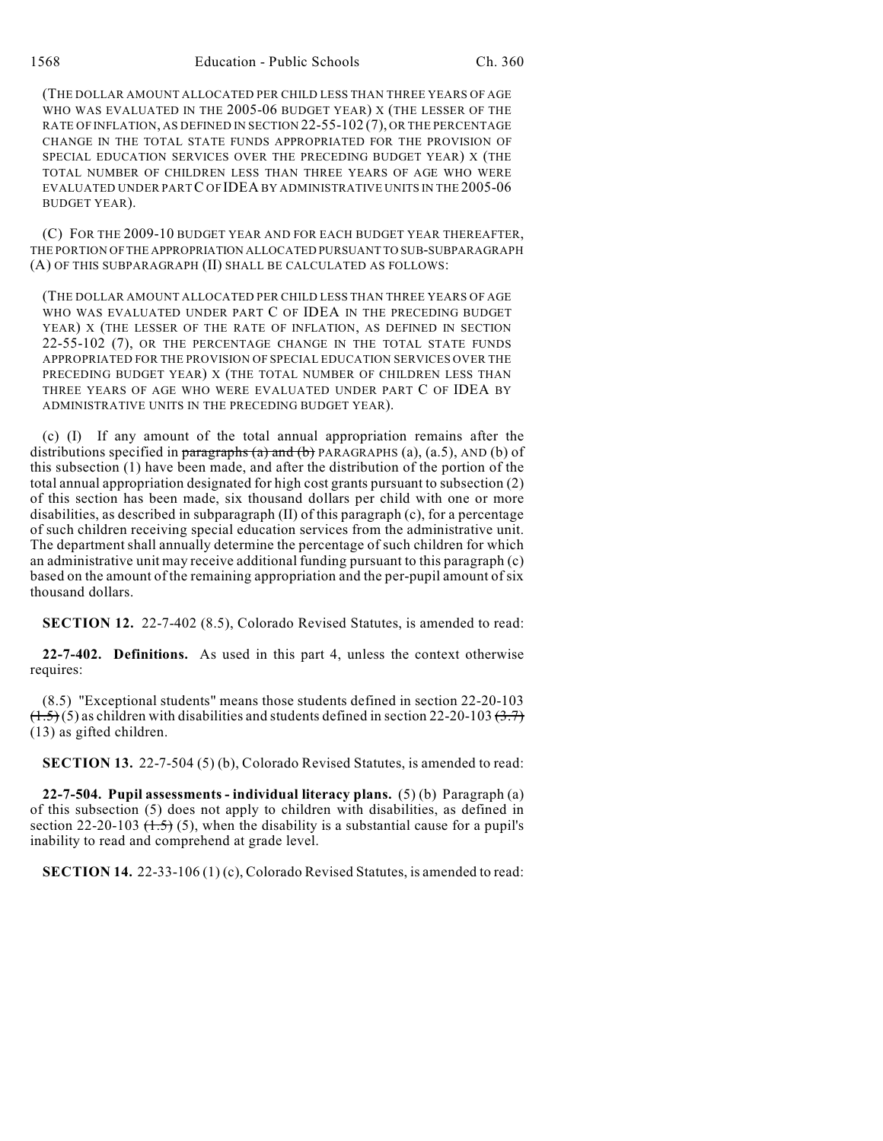(THE DOLLAR AMOUNT ALLOCATED PER CHILD LESS THAN THREE YEARS OF AGE WHO WAS EVALUATED IN THE 2005-06 BUDGET YEAR) X (THE LESSER OF THE RATE OF INFLATION, AS DEFINED IN SECTION 22-55-102 (7), OR THE PERCENTAGE CHANGE IN THE TOTAL STATE FUNDS APPROPRIATED FOR THE PROVISION OF SPECIAL EDUCATION SERVICES OVER THE PRECEDING BUDGET YEAR) X (THE TOTAL NUMBER OF CHILDREN LESS THAN THREE YEARS OF AGE WHO WERE EVALUATED UNDER PART C OF IDEA BY ADMINISTRATIVE UNITS IN THE 2005-06 BUDGET YEAR).

(C) FOR THE 2009-10 BUDGET YEAR AND FOR EACH BUDGET YEAR THEREAFTER, THE PORTION OF THE APPROPRIATION ALLOCATED PURSUANT TO SUB-SUBPARAGRAPH (A) OF THIS SUBPARAGRAPH (II) SHALL BE CALCULATED AS FOLLOWS:

(THE DOLLAR AMOUNT ALLOCATED PER CHILD LESS THAN THREE YEARS OF AGE WHO WAS EVALUATED UNDER PART C OF IDEA IN THE PRECEDING BUDGET YEAR) X (THE LESSER OF THE RATE OF INFLATION, AS DEFINED IN SECTION 22-55-102 (7), OR THE PERCENTAGE CHANGE IN THE TOTAL STATE FUNDS APPROPRIATED FOR THE PROVISION OF SPECIAL EDUCATION SERVICES OVER THE PRECEDING BUDGET YEAR) X (THE TOTAL NUMBER OF CHILDREN LESS THAN THREE YEARS OF AGE WHO WERE EVALUATED UNDER PART C OF IDEA BY ADMINISTRATIVE UNITS IN THE PRECEDING BUDGET YEAR).

(c) (I) If any amount of the total annual appropriation remains after the distributions specified in paragraphs (a) and (b) PARAGRAPHS (a), (a.5), AND (b) of this subsection (1) have been made, and after the distribution of the portion of the total annual appropriation designated for high cost grants pursuant to subsection (2) of this section has been made, six thousand dollars per child with one or more disabilities, as described in subparagraph (II) of this paragraph (c), for a percentage of such children receiving special education services from the administrative unit. The department shall annually determine the percentage of such children for which an administrative unit may receive additional funding pursuant to this paragraph (c) based on the amount of the remaining appropriation and the per-pupil amount of six thousand dollars.

**SECTION 12.** 22-7-402 (8.5), Colorado Revised Statutes, is amended to read:

**22-7-402. Definitions.** As used in this part 4, unless the context otherwise requires:

(8.5) "Exceptional students" means those students defined in section 22-20-103  $(1.5)$  (5) as children with disabilities and students defined in section 22-20-103  $(3.7)$ (13) as gifted children.

**SECTION 13.** 22-7-504 (5) (b), Colorado Revised Statutes, is amended to read:

**22-7-504. Pupil assessments - individual literacy plans.** (5) (b) Paragraph (a) of this subsection (5) does not apply to children with disabilities, as defined in section 22-20-103  $(1.5)$  (5), when the disability is a substantial cause for a pupil's inability to read and comprehend at grade level.

**SECTION 14.** 22-33-106 (1) (c), Colorado Revised Statutes, is amended to read: